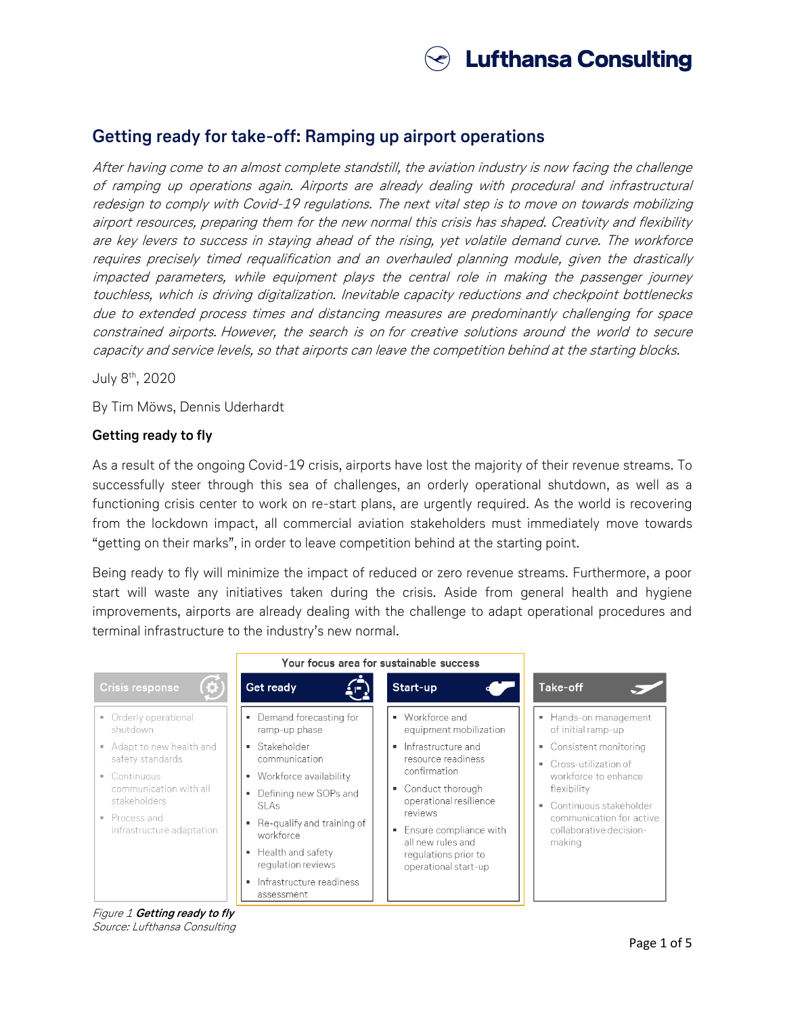

# **Getting ready for take-off: Ramping up airport operations**

After having come to an almost complete standstill, the aviation industry is now facing the challenge of ramping up operations again. Airports are already dealing with procedural and infrastructural redesign to comply with Covid-19 regulations. The next vital step is to move on towards mobilizing airport resources, preparing them for the new normal this crisis has shaped. Creativity and flexibility are key levers to success in staying ahead of the rising, yet volatile demand curve. The workforce requires precisely timed requalification and an overhauled planning module, given the drastically impacted parameters, while equipment plays the central role in making the passenger journey touchless, which is driving digitalization. Inevitable capacity reductions and checkpoint bottlenecks due to extended process times and distancing measures are predominantly challenging for space constrained airports. However, the search is on for creative solutions around the world to secure capacity and service levels, so that airports can leave the competition behind at the starting blocks.

July 8th, 2020

By Tim Möws, Dennis Uderhardt

#### **Getting ready to fly**

As a result of the ongoing Covid-19 crisis, airports have lost the majority of their revenue streams. To successfully steer through this sea of challenges, an orderly operational shutdown, as well as a functioning crisis center to work on re-start plans, are urgently required. As the world is recovering from the lockdown impact, all commercial aviation stakeholders must immediately move towards "getting on their marks", in order to leave competition behind at the starting point.

Being ready to fly will minimize the impact of reduced or zero revenue streams. Furthermore, a poor start will waste any initiatives taken during the crisis. Aside from general health and hygiene improvements, airports are already dealing with the challenge to adapt operational procedures and terminal infrastructure to the industry's new normal.



Figure 1 **Getting ready to fly** Source: Lufthansa Consulting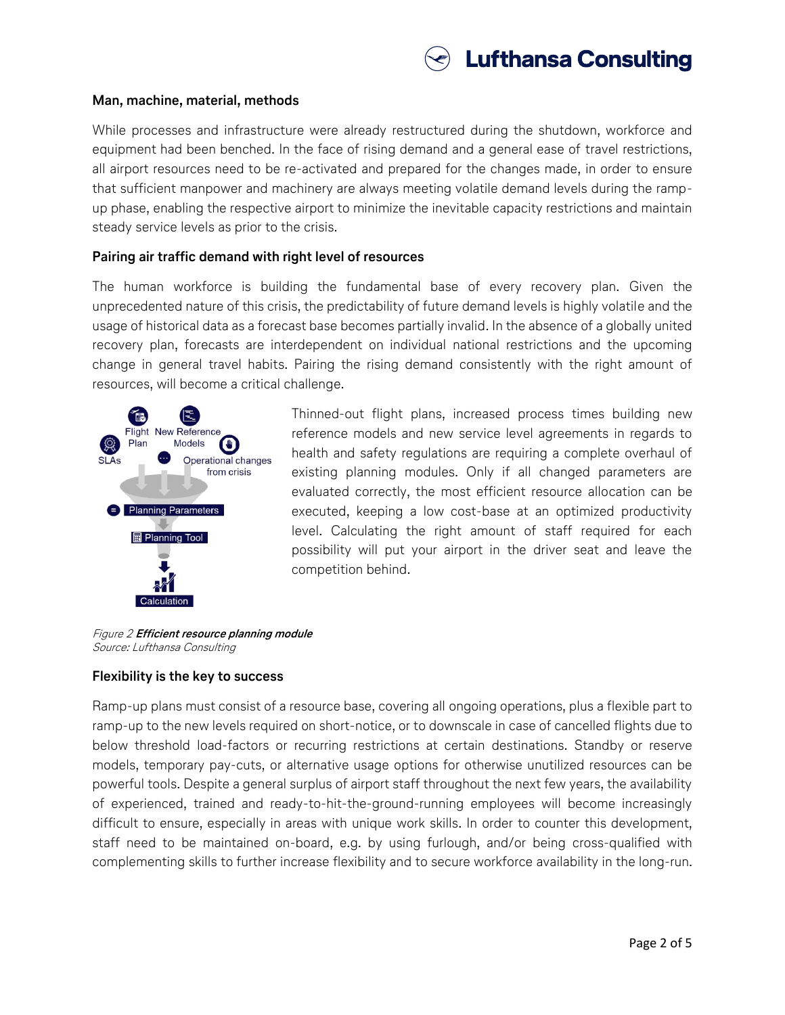

#### **Man, machine, material, methods**

While processes and infrastructure were already restructured during the shutdown, workforce and equipment had been benched. In the face of rising demand and a general ease of travel restrictions, all airport resources need to be re-activated and prepared for the changes made, in order to ensure that sufficient manpower and machinery are always meeting volatile demand levels during the rampup phase, enabling the respective airport to minimize the inevitable capacity restrictions and maintain steady service levels as prior to the crisis.

#### **Pairing air traffic demand with right level of resources**

The human workforce is building the fundamental base of every recovery plan. Given the unprecedented nature of this crisis, the predictability of future demand levels is highly volatile and the usage of historical data as a forecast base becomes partially invalid. In the absence of a globally united recovery plan, forecasts are interdependent on individual national restrictions and the upcoming change in general travel habits. Pairing the rising demand consistently with the right amount of resources, will become a critical challenge.



Thinned-out flight plans, increased process times building new reference models and new service level agreements in regards to health and safety regulations are requiring a complete overhaul of existing planning modules. Only if all changed parameters are evaluated correctly, the most efficient resource allocation can be executed, keeping a low cost-base at an optimized productivity level. Calculating the right amount of staff required for each possibility will put your airport in the driver seat and leave the competition behind.

Figure 2 **Efficient resource planning module** Source: Lufthansa Consulting

#### **Flexibility is the key to success**

Ramp-up plans must consist of a resource base, covering all ongoing operations, plus a flexible part to ramp-up to the new levels required on short-notice, or to downscale in case of cancelled flights due to below threshold load-factors or recurring restrictions at certain destinations. Standby or reserve models, temporary pay-cuts, or alternative usage options for otherwise unutilized resources can be powerful tools. Despite a general surplus of airport staff throughout the next few years, the availability of experienced, trained and ready-to-hit-the-ground-running employees will become increasingly difficult to ensure, especially in areas with unique work skills. In order to counter this development, staff need to be maintained on-board, e.g. by using furlough, and/or being cross-qualified with complementing skills to further increase flexibility and to secure workforce availability in the long-run.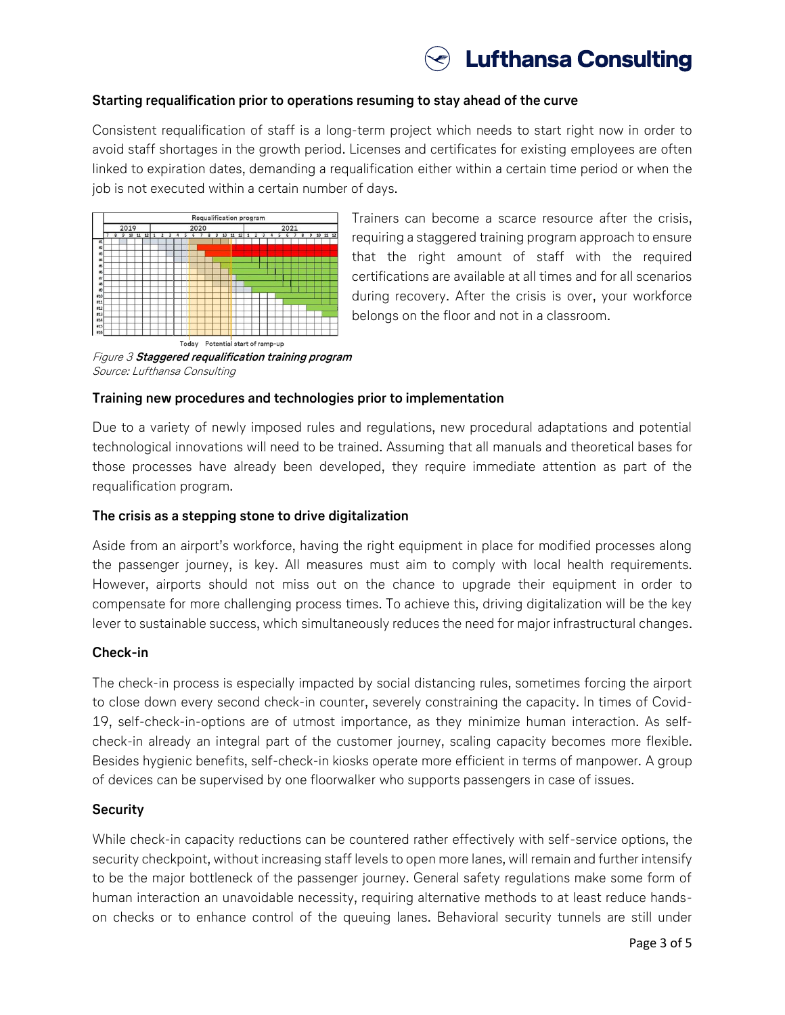

# **Starting requalification prior to operations resuming to stay ahead of the curve**

Consistent requalification of staff is a long-term project which needs to start right now in order to avoid staff shortages in the growth period. Licenses and certificates for existing employees are often linked to expiration dates, demanding a requalification either within a certain time period or when the job is not executed within a certain number of days.



Trainers can become a scarce resource after the crisis, requiring a staggered training program approach to ensure that the right amount of staff with the required certifications are available at all times and for all scenarios during recovery. After the crisis is over, your workforce belongs on the floor and not in a classroom.

Figure 3 **Staggered requalification training program** Source: Lufthansa Consulting

#### **Training new procedures and technologies prior to implementation**

Due to a variety of newly imposed rules and regulations, new procedural adaptations and potential technological innovations will need to be trained. Assuming that all manuals and theoretical bases for those processes have already been developed, they require immediate attention as part of the requalification program.

#### **The crisis as a stepping stone to drive digitalization**

Aside from an airport's workforce, having the right equipment in place for modified processes along the passenger journey, is key. All measures must aim to comply with local health requirements. However, airports should not miss out on the chance to upgrade their equipment in order to compensate for more challenging process times. To achieve this, driving digitalization will be the key lever to sustainable success, which simultaneously reduces the need for major infrastructural changes.

#### **Check-in**

The check-in process is especially impacted by social distancing rules, sometimes forcing the airport to close down every second check-in counter, severely constraining the capacity. In times of Covid-19, self-check-in-options are of utmost importance, as they minimize human interaction. As selfcheck-in already an integral part of the customer journey, scaling capacity becomes more flexible. Besides hygienic benefits, self-check-in kiosks operate more efficient in terms of manpower. A group of devices can be supervised by one floorwalker who supports passengers in case of issues.

#### **Security**

While check-in capacity reductions can be countered rather effectively with self-service options, the security checkpoint, without increasing staff levels to open more lanes, will remain and further intensify to be the major bottleneck of the passenger journey. General safety regulations make some form of human interaction an unavoidable necessity, requiring alternative methods to at least reduce handson checks or to enhance control of the queuing lanes. Behavioral security tunnels are still under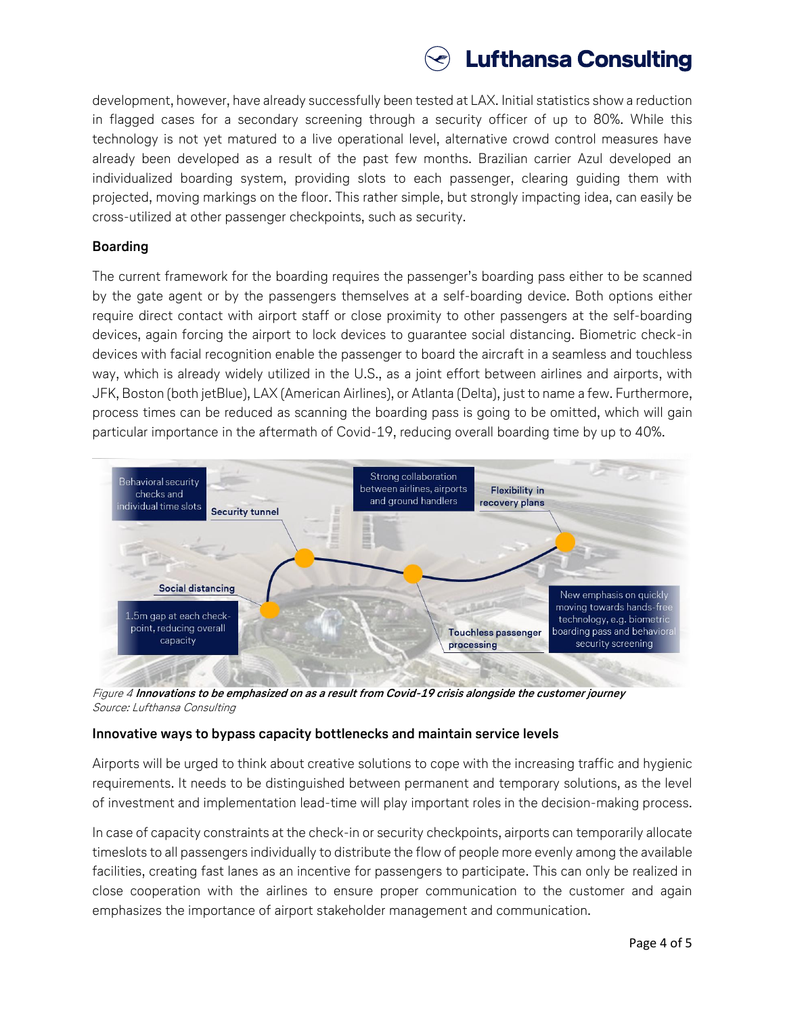

development, however, have already successfully been tested at LAX. Initial statistics show a reduction in flagged cases for a secondary screening through a security officer of up to 80%. While this technology is not yet matured to a live operational level, alternative crowd control measures have already been developed as a result of the past few months. Brazilian carrier Azul developed an individualized boarding system, providing slots to each passenger, clearing guiding them with projected, moving markings on the floor. This rather simple, but strongly impacting idea, can easily be cross-utilized at other passenger checkpoints, such as security.

# **Boarding**

The current framework for the boarding requires the passenger's boarding pass either to be scanned by the gate agent or by the passengers themselves at a self-boarding device. Both options either require direct contact with airport staff or close proximity to other passengers at the self-boarding devices, again forcing the airport to lock devices to guarantee social distancing. Biometric check-in devices with facial recognition enable the passenger to board the aircraft in a seamless and touchless way, which is already widely utilized in the U.S., as a joint effort between airlines and airports, with JFK, Boston (both jetBlue), LAX (American Airlines), or Atlanta (Delta), just to name a few. Furthermore, process times can be reduced as scanning the boarding pass is going to be omitted, which will gain particular importance in the aftermath of Covid-19, reducing overall boarding time by up to 40%.



Figure 4 **Innovations to be emphasized on as a result from Covid-19 crisis alongside the customer journey** Source: Lufthansa Consulting

# **Innovative ways to bypass capacity bottlenecks and maintain service levels**

Airports will be urged to think about creative solutions to cope with the increasing traffic and hygienic requirements. It needs to be distinguished between permanent and temporary solutions, as the level of investment and implementation lead-time will play important roles in the decision-making process.

In case of capacity constraints at the check-in or security checkpoints, airports can temporarily allocate timeslots to all passengers individually to distribute the flow of people more evenly among the available facilities, creating fast lanes as an incentive for passengers to participate. This can only be realized in close cooperation with the airlines to ensure proper communication to the customer and again emphasizes the importance of airport stakeholder management and communication.